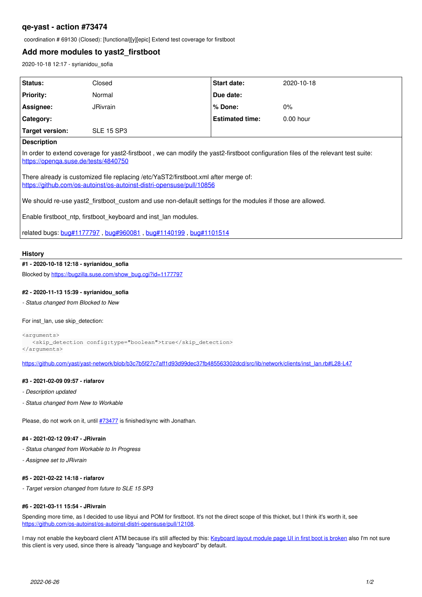# **qe-yast - action #73474**

coordination # 69130 (Closed): [functional][y][epic] Extend test coverage for firstboot

## **Add more modules to yast2\_firstboot**

2020-10-18 12:17 - syrianidou\_sofia

| <b>Status:</b>                                                                                                                                                             | Closed            | <b>Start date:</b>     | 2020-10-18  |
|----------------------------------------------------------------------------------------------------------------------------------------------------------------------------|-------------------|------------------------|-------------|
| <b>Priority:</b>                                                                                                                                                           | Normal            | Due date:              |             |
| Assignee:                                                                                                                                                                  | <b>JRivrain</b>   | % Done:                | $0\%$       |
| Category:                                                                                                                                                                  |                   | <b>Estimated time:</b> | $0.00$ hour |
| Target version:                                                                                                                                                            | <b>SLE 15 SP3</b> |                        |             |
| <b>Description</b>                                                                                                                                                         |                   |                        |             |
| In order to extend coverage for yast2-firstboot, we can modify the yast2-firstboot configuration files of the relevant test suite:<br>https://openga.suse.de/tests/4840750 |                   |                        |             |

There already is customized file replacing /etc/YaST2/firstboot.xml after merge of: <https://github.com/os-autoinst/os-autoinst-distri-opensuse/pull/10856>

We should re-use yast2 firstboot custom and use non-default settings for the modules if those are allowed.

Enable firstboot ntp, firstboot keyboard and inst lan modules.

related bugs: [bug#1177797](https://bugzilla.suse.com/show_bug.cgi?id=1177797) , [bug#960081](https://bugzilla.suse.com/show_bug.cgi?id=960081) , [bug#1140199](https://bugzilla.suse.com/show_bug.cgi?id=1140199) , [bug#1101514](https://bugzilla.suse.com/show_bug.cgi?id=1101514)

### **History**

#### **#1 - 2020-10-18 12:18 - syrianidou\_sofia**

Blocked by [https://bugzilla.suse.com/show\\_bug.cgi?id=1177797](https://bugzilla.suse.com/show_bug.cgi?id=1177797)

### **#2 - 2020-11-13 15:39 - syrianidou\_sofia**

*- Status changed from Blocked to New*

### For inst\_lan, use skip\_detection:

```
<arguments>
      <skip_detection config:type="boolean">true</skip_detection>
</arguments>
```
[https://github.com/yast/yast-network/blob/b3c7b5f27c7aff1d93d99dec37fb485563302dcd/src/lib/network/clients/inst\\_lan.rb#L28-L47](https://github.com/yast/yast-network/blob/b3c7b5f27c7aff1d93d99dec37fb485563302dcd/src/lib/network/clients/inst_lan.rb#L28-L47)

### **#3 - 2021-02-09 09:57 - riafarov**

- *Description updated*
- *Status changed from New to Workable*

Please, do not work on it, until [#73477](https://progress.opensuse.org/issues/73477) is finished/sync with Jonathan.

### **#4 - 2021-02-12 09:47 - JRivrain**

- *Status changed from Workable to In Progress*
- *Assignee set to JRivrain*

### **#5 - 2021-02-22 14:18 - riafarov**

*- Target version changed from future to SLE 15 SP3*

### **#6 - 2021-03-11 15:54 - JRivrain**

Spending more time, as I decided to use libyui and POM for firstboot. It's not the direct scope of this thicket, but I think it's worth it, see <https://github.com/os-autoinst/os-autoinst-distri-opensuse/pull/12108>.

I may not enable the keyboard client ATM because it's still affected by this: [Keyboard layout module page UI in first boot is broken](https://bugzilla.suse.com/show_bug.cgi?id=1183162) also I'm not sure this client is very used, since there is already "language and keyboard" by default.